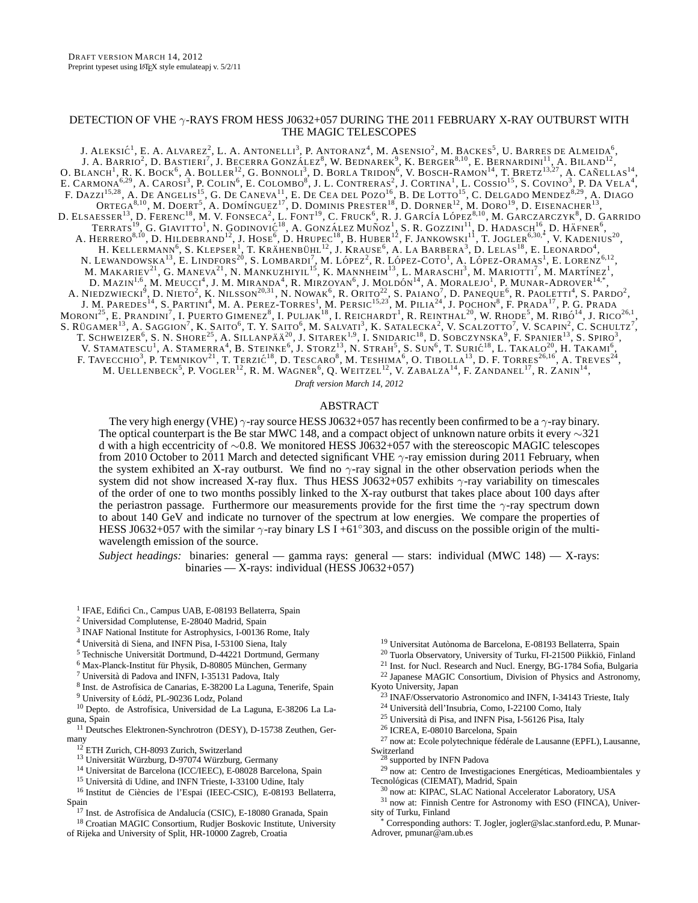# DETECTION OF VHE  $\gamma$ -RAYS FROM HESS J0632+057 DURING THE 2011 FEBRUARY X-RAY OUTBURST WITH THE MAGIC TELESCOPES

J. ALEKSIĆ<sup>1</sup>, E. A. Alvarez<sup>2</sup>, L. A. Antonelli<sup>3</sup>, P. Antoranz<sup>4</sup>, M. Asensio<sup>2</sup>, M. Backes<sup>5</sup>, U. Barres de Almeida<sup>6</sup>, J. A. BARRIO<sup>2</sup>, D. BASTIERI<sup>7</sup>, J. BECERRA GONZÁLEZ<sup>8</sup>, W. BEDNAREK<sup>9</sup>, K. BERGER<sup>8,10</sup>, E. BERNARDINI<sup>11</sup>, A. BILAND<sup>12</sup>, O. BLANCH<sup>1</sup>, R. K. BOCK<sup>6</sup>, A. BOLLER<sup>12</sup>, G. BONNOLI<sup>3</sup>, D. BORLA TRIDON<sup>6</sup>, V. BOSCH-RAMON<sup>14</sup>, T. BRETZ<sup>13,27</sup>, A. CAÑELLAS<sup>14</sup>, E. CARMONA<sup>6,29</sup>, A. CAROSI<sup>3</sup>, P. COLIN<sup>6</sup>, E. COLOMBO<sup>8</sup>, J. L. CONTRERAS<sup>2</sup>, J. CORTINA<sup>1</sup>, L. COSSIO<sup>15</sup>, S. COVINO<sup>3</sup>, P. DA VELA<sup>4</sup>, F. DAZZI<sup>15,28</sup>, A. DE ANGELIS<sup>15</sup>, G. DE CANEVA<sup>11</sup>, E. DE CEA DEL POZO<sup>16</sup>, B. DE LOTTO<sup>15</sup>, C. DELGADO MENDEZ<sup>8,29</sup>, A. DIAGO  $\text{ORTEGA}^{8,10}, \text{ M. DOERT}^5, \text{ A. DOMiNGUEZ}^{17}, \text{ D. DOMINIS PRESTER}^{18}, \text{ D. DONIRE}^{12}, \text{ M. DORO}^{19}, \text{ D. EISENACHER}^{13},$ D. ELSAESSER<sup>13</sup>, D. FERENC<sup>18</sup>, M. V. FONSECA<sup>2</sup>, L. FONT<sup>19</sup>, C. Fruck<sup>6</sup>, R. J. García López<sup>8,10</sup>, M. Garczarczyk<sup>8</sup>, D. Garrido TERRATS<sup>19</sup>, G. GIAVITTO<sup>1</sup>, N. GODINOVIĆ<sup>18</sup>, A. GONZÁLEZ MUÑOZ<sup>1</sup>, S. R. GOZZINI<sup>11</sup>, D. HADASCH<sup>16</sup>, D. HÄFNER<sup>6</sup>, A. HERRERO $^{8,10}$ , D. HILDEBRAND $^{12}$ , J. HOSE $^6$ , D. Hrupec $^{18}$ , B. Huber $^{12}$ , F. Jankowski $^{11}$ , T. Jogler $^{6,30,^\ast}$ , V. Kadenius $^{20}$ , H. KELLERMANN<sup>6</sup>, S. KLEPSER<sup>1</sup>, T. KRÄHENBÜHL<sup>12</sup>, J. KRAUSE<sup>6</sup>, A. LA BARBERA<sup>3</sup>, D. LELAS<sup>18</sup>, E. LEONARDO<sup>4</sup>, N. LEWANDOWSKA<sup>13</sup>, E. LINDFORS<sup>20</sup>, S. LOMBARDI<sup>7</sup>, M. LÓPEZ<sup>2</sup>, R. LÓPEZ-COTO<sup>1</sup>, A. LÓPEZ-ORAMAS<sup>1</sup>, E. LORENZ<sup>6,12</sup>, M. MAKARIEV $^{21}$ , G. Maneva $^{21}$ , N. Mankuzhiyil<sup>15</sup>, K. Mannheim $^{13}$ , L. Maraschi<sup>3</sup>, M. Mariotti<sup>7</sup>, M. Martínez<sup>1</sup>, D. MAZIN<sup>1,6</sup>, M. MEUCCI<sup>4</sup>, J. M. MIRANDA<sup>4</sup>, R. MIRZOYAN<sup>6</sup>, J. MOLDÓN<sup>14</sup>, A. MORALEJO<sup>1</sup>, P. MUNAR-ADROVER<sup>14,\*</sup>, A. NIEDZWIECKI<sup>9</sup>, D. NIETO<sup>2</sup>, K. Nilsson<sup>20,31</sup>, N. Nowak<sup>6</sup>, R. Orito<sup>22</sup>, S. Paiano<sup>7</sup>, D. Paneque<sup>6</sup>, R. Paoletti<sup>4</sup>, S. Pardo<sup>2</sup>, J. M. PAREDES<sup>14</sup>, S. PARTINI<sup>4</sup>, M. A. PEREZ-TORRES<sup>1</sup>, M. PERSIC<sup>15,23</sup>, M. PILIA<sup>24</sup>, J. POCHON<sup>8</sup>, F. PRADA<sup>17</sup>, P. G. PRADA  $\rm{Moron}^{25}$ , E. Prandini $^7$ , I. Puerto Gimenez $^8$ , I. Puljak $^{18}$ , I. Reichardt $^1$ , R. Reinthal $^{20}$ , W. Rhode $^5$ , M. Ribó $^{14}$ , J. Rico $^{26.1}$ , S. RÜGAMER<sup>13</sup>, A. SAGGION<sup>7</sup>, K. SAITO<sup>6</sup>, T. Y. SAITO<sup>6</sup>, M. SALVATI<sup>3</sup>, K. SATALECKA<sup>2</sup>, V. SCALZOTTO<sup>7</sup>, V. SCAPIN<sup>2</sup>, C. SCHULTZ<sup>7</sup>, T. SCHWEIZER<sup>6</sup>, S. N. SHORE<sup>25</sup>, A. SILLANPÄÄ<sup>20</sup>, J. SITAREK<sup>1,9</sup>, I. SNIDARIC<sup>18</sup>, D. SOBCZYNSKA<sup>9</sup>, F. SPANIER<sup>13</sup>, S. SPIRO<sup>3</sup>, V. STAMATESCU<sup>1</sup>, A. STAMERRA<sup>4</sup>, B. STEINKE<sup>6</sup>, J. STORZ<sup>13</sup>, N. STRAH<sup>5</sup>, S. SUN<sup>6</sup>, T. SURIĆ<sup>18</sup>, L. TAKALO<sup>20</sup>, H. TAKAMI<sup>6</sup>, F. TAVECCHIO<sup>3</sup>, P. TEMNIKOV<sup>21</sup>, T. TERZIĆ<sup>18</sup>, D. TESCARO<sup>8</sup>, M. TESHIMA<sup>6</sup>, O. TIBOLLA<sup>13</sup>, D. F. TORRES<sup>26,16</sup>, A. TREVES<sup>24</sup>, M. UELLENBECK<sup>5</sup>, P. VOGLER<sup>12</sup>, R. M. WAGNER<sup>6</sup>, Q. WEITZEL<sup>12</sup>, V. ZABALZA<sup>14</sup>, F. ZANDANEL<sup>17</sup>, R. ZANIN<sup>14</sup>,

*Draft version March 14, 2012*

### ABSTRACT

The very high energy (VHE)  $\gamma$ -ray source HESS J0632+057 has recently been confirmed to be a  $\gamma$ -ray binary. The optical counterpart is the Be star MWC 148, and a compact object of unknown nature orbits it every ∼321 d with a high eccentricity of ∼0.8. We monitored HESS J0632+057 with the stereoscopic MAGIC telescopes from 2010 October to 2011 March and detected significant VHE  $\gamma$ -ray emission during 2011 February, when the system exhibited an X-ray outburst. We find no  $\gamma$ -ray signal in the other observation periods when the system did not show increased X-ray flux. Thus HESS J0632+057 exhibits γ-ray variability on timescales of the order of one to two months possibly linked to the X-ray outburst that takes place about 100 days after the periastron passage. Furthermore our measurements provide for the first time the  $\gamma$ -ray spectrum down to about 140 GeV and indicate no turnover of the spectrum at low energies. We compare the properties of HESS J0632+057 with the similar  $\gamma$ -ray binary LS I +61°303, and discuss on the possible origin of the multiwavelength emission of the source.

*Subject headings:* binaries: general — gamma rays: general — stars: individual (MWC 148) — X-rays: binaries — X-rays: individual (HESS J0632+057)

<sup>1</sup> IFAE, Edifici Cn., Campus UAB, E-08193 Bellaterra, Spain

- <sup>2</sup> Universidad Complutense, E-28040 Madrid, Spain
- <sup>3</sup> INAF National Institute for Astrophysics, I-00136 Rome, Italy
- <sup>4</sup> Università di Siena, and INFN Pisa, I-53100 Siena, Italy
- <sup>5</sup> Technische Universität Dortmund, D-44221 Dortmund, Germany
- $6$  Max-Planck-Institut für Physik, D-80805 München, Germany
- $7$  Università di Padova and INFN, I-35131 Padova, Italy
- <sup>8</sup> Inst. de Astrofísica de Canarias, E-38200 La Laguna, Tenerife, Spain <sup>9</sup> University of Łódź, PL-90236 Lodz, Poland
- $^{10}$  Depto. de Astrofísica, Universidad de La Laguna, E-38206 La Laguna, Spain

<sup>11</sup> Deutsches Elektronen-Synchrotron (DESY), D-15738 Zeuthen, Germany

- <sup>12</sup> ETH Zurich, CH-8093 Zurich, Switzerland
- <sup>13</sup> Universität Würzburg, D-97074 Würzburg, Germany
- <sup>14</sup> Universitat de Barcelona (ICC/IEEC), E-08028 Barcelona, Spain
- <sup>15</sup> Università di Udine, and INFN Trieste, I-33100 Udine, Italy
- <sup>16</sup> Institut de Ciències de l'Espai (IEEC-CSIC), E-08193 Bellaterra, Spain
	- <sup>17</sup> Inst. de Astrofísica de Andalucía (CSIC), E-18080 Granada, Spain
- <sup>18</sup> Croatian MAGIC Consortium, Rudjer Boskovic Institute, University of Rijeka and University of Split, HR-10000 Zagreb, Croatia
- <sup>19</sup> Universitat Autònoma de Barcelona, E-08193 Bellaterra, Spain
- $^{20}$  Tuorla Observatory, University of Turku, FI-21500 Piikkiö, Finland
- <sup>21</sup> Inst. for Nucl. Research and Nucl. Energy, BG-1784 Sofia, Bulgaria
- <sup>22</sup> Japanese MAGIC Consortium, Division of Physics and Astronomy, Kyoto University, Japan
	- <sup>23</sup> INAF/Osservatorio Astronomico and INFN, I-34143 Trieste, Italy
	- <sup>24</sup> Università dell'Insubria, Como, I-22100 Como, Italy
	- <sup>25</sup> Università di Pisa, and INFN Pisa, I-56126 Pisa, Italy
- <sup>26</sup> ICREA, E-08010 Barcelona, Spain
- $27$  now at: Ecole polytechnique fédérale de Lausanne (EPFL), Lausanne, Switzerland

<sup>3</sup> supported by INFN Padova

- $29$  now at: Centro de Investigaciones Energéticas, Medioambientales y Tecnológicas (CIEMAT), Madrid, Spain
	- <sup>30</sup> now at: KIPAC, SLAC National Accelerator Laboratory, USA

<sup>31</sup> now at: Finnish Centre for Astronomy with ESO (FINCA), University of Turku, Finland

Corresponding authors: T. Jogler, jogler@slac.stanford.edu, P. Munar-Adrover, pmunar@am.ub.es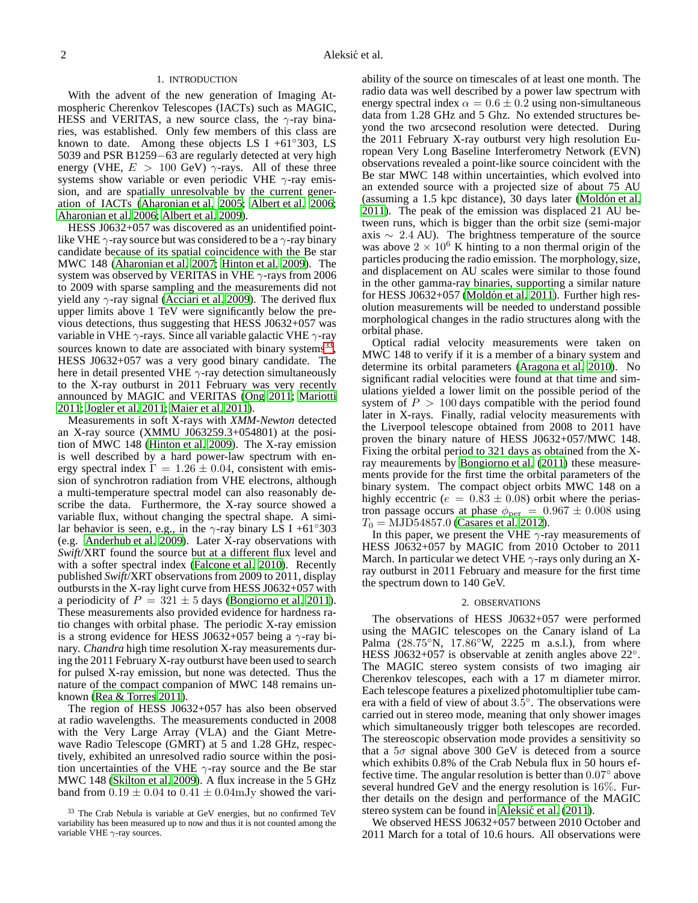### 1. INTRODUCTION

With the advent of the new generation of Imaging Atmospheric Cherenkov Telescopes (IACTs) such as MAGIC, HESS and VERITAS, a new source class, the  $\gamma$ -ray binaries, was established. Only few members of this class are known to date. Among these objects LS I +61 $\degree$ 303, LS 5039 and PSR B1259−63 are regularly detected at very high energy (VHE,  $E > 100$  GeV)  $\gamma$ -rays. All of these three systems show variable or even periodic VHE  $\gamma$ -ray emission, and are spatially unresolvable by the current generation of IACTs [\(Aharonian et al. 2005;](#page-4-0) [Albert et al. 2006;](#page-4-1) [Aharonian et al. 2006](#page-4-2); [Albert et al. 2009](#page-4-3)).

HESS J0632+057 was discovered as an unidentified pointlike VHE  $\gamma$ -ray source but was considered to be a  $\gamma$ -ray binary candidate because of its spatial coincidence with the Be star MWC 148 [\(Aharonian et al. 2007;](#page-4-4) [Hinton et al. 2009\)](#page-4-5). The system was observed by VERITAS in VHE  $\gamma$ -rays from 2006 to 2009 with sparse sampling and the measurements did not yield any  $\gamma$ -ray signal [\(Acciari et al. 2009](#page-4-6)). The derived flux upper limits above 1 TeV were significantly below the previous detections, thus suggesting that HESS J0632+057 was variable in VHE  $\gamma$ -rays. Since all variable galactic VHE  $\gamma$ -ray sources known to date are associated with binary systems<sup>[33](#page-1-0)</sup>, HESS J0632+057 was a very good binary candidate. The here in detail presented VHE  $\gamma$ -ray detection simultaneously to the X-ray outburst in 2011 February was very recently announced by MAGIC and VERITAS [\(Ong 2011;](#page-4-7) [Mariotti](#page-4-8) [2011;](#page-4-8) [Jogler et al. 2011;](#page-4-9) [Maier et al. 2011\)](#page-4-10).

Measurements in soft X-rays with *XMM-Newton* detected an X-ray source (XMMU J063259.3+054801) at the position of MWC 148 [\(Hinton et al. 2009\)](#page-4-5). The X-ray emission is well described by a hard power-law spectrum with energy spectral index  $\Gamma = 1.26 \pm 0.04$ , consistent with emission of synchrotron radiation from VHE electrons, although a multi-temperature spectral model can also reasonably describe the data. Furthermore, the X-ray source showed a variable flux, without changing the spectral shape. A similar behavior is seen, e.g., in the  $\gamma$ -ray binary LS I +61°303 (e.g. [Anderhub et al. 2009](#page-4-11)). Later X-ray observations with *Swift*/XRT found the source but at a different flux level and with a softer spectral index [\(Falcone et al. 2010](#page-4-12)). Recently published *Swift*/XRT observations from 2009 to 2011, display outbursts in the X-ray light curve from HESS J0632+057 with a periodicity of  $P = 321 \pm 5$  days [\(Bongiorno et al. 2011\)](#page-4-13). These measurements also provided evidence for hardness ratio changes with orbital phase. The periodic X-ray emission is a strong evidence for HESS J0632+057 being a  $\gamma$ -ray binary. *Chandra* high time resolution X-ray measurements during the 2011 February X-ray outburst have been used to search for pulsed X-ray emission, but none was detected. Thus the nature of the compact companion of MWC 148 remains unknown [\(Rea & Torres 2011](#page-4-14)).

The region of HESS J0632+057 has also been observed at radio wavelengths. The measurements conducted in 2008 with the Very Large Array (VLA) and the Giant Metrewave Radio Telescope (GMRT) at 5 and 1.28 GHz, respectively, exhibited an unresolved radio source within the position uncertainties of the VHE  $\gamma$ -ray source and the Be star MWC 148 [\(Skilton et al. 2009\)](#page-4-15). A flux increase in the 5 GHz band from  $0.19 \pm 0.04$  to  $0.41 \pm 0.04$  mJy showed the vari-

ability of the source on timescales of at least one month. The radio data was well described by a power law spectrum with energy spectral index  $\alpha = 0.6 \pm 0.2$  using non-simultaneous data from 1.28 GHz and 5 Ghz. No extended structures beyond the two arcsecond resolution were detected. During the 2011 February X-ray outburst very high resolution European Very Long Baseline Interferometry Network (EVN) observations revealed a point-like source coincident with the Be star MWC 148 within uncertainties, which evolved into an extended source with a projected size of about 75 AU (assuming a  $1.5$  kpc distance),  $30$  days later (Moldón et al. [2011\)](#page-4-16). The peak of the emission was displaced 21 AU between runs, which is bigger than the orbit size (semi-major axis  $\sim 2.4$  AU). The brightness temperature of the source was above  $2 \times 10^6$  K hinting to a non thermal origin of the particles producing the radio emission. The morphology, size, and displacement on AU scales were similar to those found in the other gamma-ray binaries, supporting a similar nature for HESS J0632+057 (Moldón et al.  $2011$ ). Further high resolution measurements will be needed to understand possible morphological changes in the radio structures along with the orbital phase.

Optical radial velocity measurements were taken on MWC 148 to verify if it is a member of a binary system and determine its orbital parameters [\(Aragona et al. 2010](#page-4-17)). No significant radial velocities were found at that time and simulations yielded a lower limit on the possible period of the system of  $P > 100$  days compatible with the period found later in X-rays. Finally, radial velocity measurements with the Liverpool telescope obtained from 2008 to 2011 have proven the binary nature of HESS J0632+057/MWC 148. Fixing the orbital period to 321 days as obtained from the Xray meaurements by [Bongiorno et al. \(2011\)](#page-4-13) these measurements provide for the first time the orbital parameters of the binary system. The compact object orbits MWC 148 on a highly eccentric ( $e = 0.83 \pm 0.08$ ) orbit where the periastron passage occurs at phase  $\phi_{\text{per}} = 0.967 \pm 0.008$  using  $T_0 = \text{MJD}54857.0$  [\(Casares et al. 2012\)](#page-4-18).

In this paper, we present the VHE  $\gamma$ -ray measurements of HESS J0632+057 by MAGIC from 2010 October to 2011 March. In particular we detect VHE  $\gamma$ -rays only during an Xray outburst in 2011 February and measure for the first time the spectrum down to 140 GeV.

#### 2. OBSERVATIONS

The observations of HESS J0632+057 were performed using the MAGIC telescopes on the Canary island of La Palma (28.75°N, 17.86°W, 2225 m a.s.l.), from where HESS J0632+057 is observable at zenith angles above  $22^\circ$ . The MAGIC stereo system consists of two imaging air Cherenkov telescopes, each with a 17 m diameter mirror. Each telescope features a pixelized photomultiplier tube camera with a field of view of about  $3.5^{\circ}$ . The observations were carried out in stereo mode, meaning that only shower images which simultaneously trigger both telescopes are recorded. The stereoscopic observation mode provides a sensitivity so that a  $5\sigma$  signal above 300 GeV is deteced from a source which exhibits 0.8% of the Crab Nebula flux in 50 hours effective time. The angular resolution is better than  $0.07^{\circ}$  above several hundred GeV and the energy resolution is  $16\%$ . Further details on the design and performance of the MAGIC stereo system can be found in Aleksić et al. (2011).

We observed HESS J0632+057 between 2010 October and 2011 March for a total of 10.6 hours. All observations were

<span id="page-1-0"></span><sup>&</sup>lt;sup>33</sup> The Crab Nebula is variable at GeV energies, but no confirmed TeV variability has been measured up to now and thus it is not counted among the variable VHE  $\gamma$ -ray sources.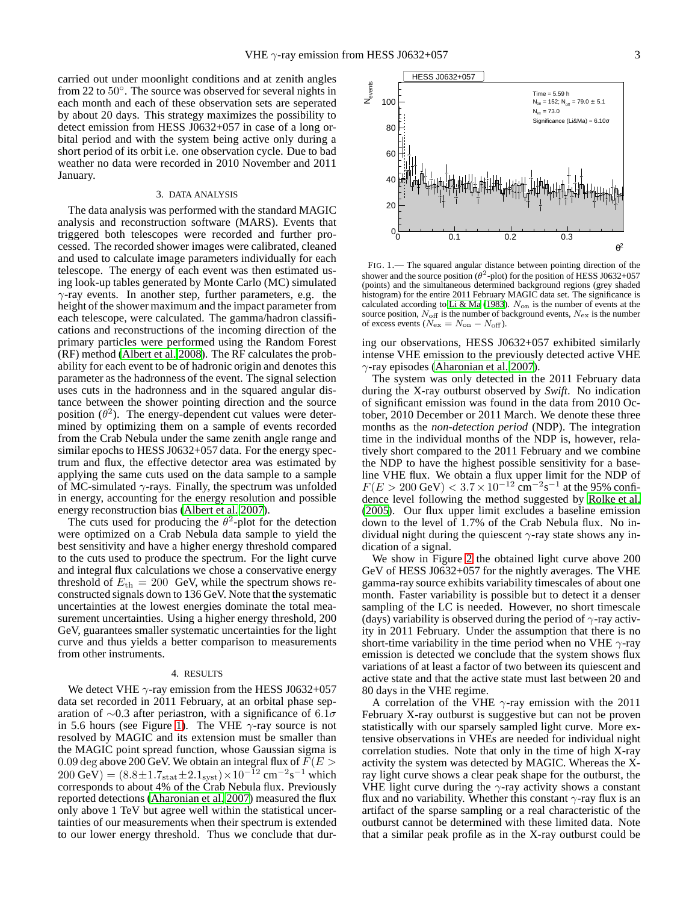carried out under moonlight conditions and at zenith angles from 22 to 50°. The source was observed for several nights in each month and each of these observation sets are seperated by about 20 days. This strategy maximizes the possibility to detect emission from HESS J0632+057 in case of a long orbital period and with the system being active only during a short period of its orbit i.e. one observation cycle. Due to bad weather no data were recorded in 2010 November and 2011 January.

#### 3. DATA ANALYSIS

The data analysis was performed with the standard MAGIC analysis and reconstruction software (MARS). Events that triggered both telescopes were recorded and further processed. The recorded shower images were calibrated, cleaned and used to calculate image parameters individually for each telescope. The energy of each event was then estimated using look-up tables generated by Monte Carlo (MC) simulated  $\gamma$ -ray events. In another step, further parameters, e.g. the height of the shower maximum and the impact parameter from each telescope, were calculated. The gamma/hadron classifications and reconstructions of the incoming direction of the primary particles were performed using the Random Forest (RF) method [\(Albert et al. 2008\)](#page-4-20). The RF calculates the probability for each event to be of hadronic origin and denotes this parameter as the hadronness of the event. The signal selection uses cuts in the hadronness and in the squared angular distance between the shower pointing direction and the source position  $(\theta^2)$ . The energy-dependent cut values were determined by optimizing them on a sample of events recorded from the Crab Nebula under the same zenith angle range and similar epochs to HESS J0632+057 data. For the energy spectrum and flux, the effective detector area was estimated by applying the same cuts used on the data sample to a sample of MC-simulated  $\gamma$ -rays. Finally, the spectrum was unfolded in energy, accounting for the energy resolution and possible energy reconstruction bias [\(Albert et al. 2007](#page-4-21)).

The cuts used for producing the  $\theta^2$ -plot for the detection were optimized on a Crab Nebula data sample to yield the best sensitivity and have a higher energy threshold compared to the cuts used to produce the spectrum. For the light curve and integral flux calculations we chose a conservative energy threshold of  $E_{\text{th}} = 200$  GeV, while the spectrum shows reconstructed signals down to 136 GeV. Note that the systematic uncertainties at the lowest energies dominate the total measurement uncertainties. Using a higher energy threshold, 200 GeV, guarantees smaller systematic uncertainties for the light curve and thus yields a better comparison to measurements from other instruments.

#### 4. RESULTS

We detect VHE  $\gamma$ -ray emission from the HESS J0632+057 data set recorded in 2011 February, at an orbital phase separation of  $\sim$ 0.3 after periastron, with a significance of 6.1 $\sigma$ in 5.6 hours (see Figure [1\)](#page-2-0). The VHE  $\gamma$ -ray source is not resolved by MAGIC and its extension must be smaller than the MAGIC point spread function, whose Gaussian sigma is  $0.09$  deg above 200 GeV. We obtain an integral flux of  $F(E\,{>}\,$  $200 \text{ GeV} = (8.8 \pm 1.7_{\text{stat}} \pm 2.1_{\text{syst}}) \times 10^{-12} \text{ cm}^{-2} \text{s}^{-1}$  which corresponds to about 4% of the Crab Nebula flux. Previously reported detections [\(Aharonian et al. 2007\)](#page-4-4) measured the flux only above 1 TeV but agree well within the statistical uncertainties of our measurements when their spectrum is extended to our lower energy threshold. Thus we conclude that dur-



<span id="page-2-0"></span>FIG. 1.— The squared angular distance between pointing direction of the shower and the source position ( $\theta^2$ -plot) for the position of HESS J0632+057 (points) and the simultaneous determined background regions (grey shaded histogram) for the entire 2011 February MAGIC data set. The significance is calculated according to [Li & Ma \(1983\)](#page-4-22).  $N_{on}$  is the number of events at the source position,  $N_{\text{off}}$  is the number of background events,  $N_{\text{ex}}$  is the number of excess events ( $N_{\text{ex}} = N_{\text{on}} - N_{\text{off}}$ ).

ing our observations, HESS J0632+057 exhibited similarly intense VHE emission to the previously detected active VHE  $\gamma$ -ray episodes [\(Aharonian et al. 2007](#page-4-4)).

The system was only detected in the 2011 February data during the X-ray outburst observed by *Swift*. No indication of significant emission was found in the data from 2010 October, 2010 December or 2011 March. We denote these three months as the *non-detection period* (NDP). The integration time in the individual months of the NDP is, however, relatively short compared to the 2011 February and we combine the NDP to have the highest possible sensitivity for a baseline VHE flux. We obtain a flux upper limit for the NDP of  $F(E > 200 \text{ GeV}) < 3.7 \times 10^{-12} \text{ cm}^{-2} \text{s}^{-1}$  at the 95% confidence level following the method suggested by [Rolke et al.](#page-4-23) [\(2005\)](#page-4-23). Our flux upper limit excludes a baseline emission down to the level of 1.7% of the Crab Nebula flux. No individual night during the quiescent  $\gamma$ -ray state shows any indication of a signal.

We show in Figure [2](#page-3-0) the obtained light curve above 200 GeV of HESS J0632+057 for the nightly averages. The VHE gamma-ray source exhibits variability timescales of about one month. Faster variability is possible but to detect it a denser sampling of the LC is needed. However, no short timescale (days) variability is observed during the period of  $\gamma$ -ray activity in 2011 February. Under the assumption that there is no short-time variability in the time period when no VHE  $\gamma$ -ray emission is detected we conclude that the system shows flux variations of at least a factor of two between its quiescent and active state and that the active state must last between 20 and 80 days in the VHE regime.

A correlation of the VHE  $\gamma$ -ray emission with the 2011 February X-ray outburst is suggestive but can not be proven statistically with our sparsely sampled light curve. More extensive observations in VHEs are needed for individual night correlation studies. Note that only in the time of high X-ray activity the system was detected by MAGIC. Whereas the Xray light curve shows a clear peak shape for the outburst, the VHE light curve during the  $\gamma$ -ray activity shows a constant flux and no variability. Whether this constant  $\gamma$ -ray flux is an artifact of the sparse sampling or a real characteristic of the outburst cannot be determined with these limited data. Note that a similar peak profile as in the X-ray outburst could be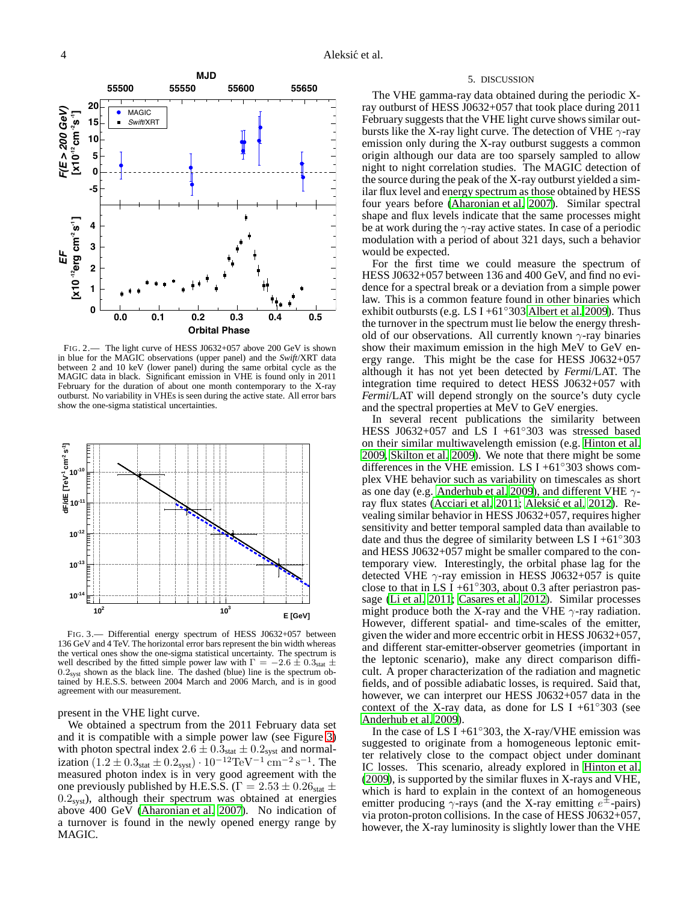

<span id="page-3-0"></span>FIG. 2.— The light curve of HESS J0632+057 above 200 GeV is shown in blue for the MAGIC observations (upper panel) and the *Swift*/XRT data between 2 and 10 keV (lower panel) during the same orbital cycle as the MAGIC data in black. Significant emission in VHE is found only in 2011 February for the duration of about one month contemporary to the X-ray outburst. No variability in VHEs is seen during the active state. All error bars show the one-sigma statistical uncertainties.



<span id="page-3-1"></span>FIG. 3.— Differential energy spectrum of HESS J0632+057 between 136 GeV and 4 TeV. The horizontal error bars represent the bin width whereas the vertical ones show the one-sigma statistical uncertainty. The spectrum is well described by the fitted simple power law with  $\Gamma = -2.6 \pm 0.3$  stat  $\pm$  $0.2<sub>syst</sub>$  shown as the black line. The dashed (blue) line is the spectrum obtained by H.E.S.S. between 2004 March and 2006 March, and is in good agreement with our measurement.

present in the VHE light curve.

We obtained a spectrum from the 2011 February data set and it is compatible with a simple power law (see Figure [3\)](#page-3-1) with photon spectral index  $2.6 \pm 0.3$ <sub>stat</sub>  $\pm 0.2$ <sub>syst</sub> and normalization  $(1.2 \pm 0.3<sub>stat</sub> \pm 0.2<sub>syst</sub>) \cdot 10^{-12} \text{TeV}^{-1} \text{ cm}^{-2} \text{ s}^{-1}$ . The measured photon index is in very good agreement with the one previously published by H.E.S.S. ( $\Gamma = 2.53 \pm 0.26$ <sub>stat</sub>  $\pm$  $0.2<sub>syst</sub>$ ), although their spectrum was obtained at energies above 400 GeV [\(Aharonian et al. 2007](#page-4-4)). No indication of a turnover is found in the newly opened energy range by MAGIC.

#### 5. DISCUSSION

The VHE gamma-ray data obtained during the periodic Xray outburst of HESS J0632+057 that took place during 2011 February suggests that the VHE light curve shows similar outbursts like the X-ray light curve. The detection of VHE  $\gamma$ -ray emission only during the X-ray outburst suggests a common origin although our data are too sparsely sampled to allow night to night correlation studies. The MAGIC detection of the source during the peak of the X-ray outburst yielded a similar flux level and energy spectrum as those obtained by HESS four years before [\(Aharonian et al. 2007\)](#page-4-4). Similar spectral shape and flux levels indicate that the same processes might be at work during the  $\gamma$ -ray active states. In case of a periodic modulation with a period of about 321 days, such a behavior would be expected.

For the first time we could measure the spectrum of HESS J0632+057 between 136 and 400 GeV, and find no evidence for a spectral break or a deviation from a simple power law. This is a common feature found in other binaries which exhibit outbursts (e.g. LS I +61 $\degree$ 303 [Albert et al. 2009](#page-4-3)). Thus the turnover in the spectrum must lie below the energy threshold of our observations. All currently known  $\gamma$ -ray binaries show their maximum emission in the high MeV to GeV energy range. This might be the case for HESS J0632+057 although it has not yet been detected by *Fermi*/LAT. The integration time required to detect HESS J0632+057 with *Fermi*/LAT will depend strongly on the source's duty cycle and the spectral properties at MeV to GeV energies.

In several recent publications the similarity between HESS J0632+057 and LS I +61◦303 was stressed based on their similar multiwavelength emission (e.g. [Hinton et al.](#page-4-5) [2009,](#page-4-5) [Skilton et al. 2009\)](#page-4-15). We note that there might be some differences in the VHE emission. LS I +61 $\degree$ 303 shows complex VHE behavior such as variability on timescales as short as one day (e.g. [Anderhub et al. 2009\)](#page-4-11), and different VHE  $\gamma$ -ray flux states [\(Acciari et al. 2011](#page-4-24); Aleksić et al. 2012). Revealing similar behavior in HESS J0632+057, requires higher sensitivity and better temporal sampled data than available to date and thus the degree of similarity between LS I +61 $\degree$ 303 and HESS J0632+057 might be smaller compared to the contemporary view. Interestingly, the orbital phase lag for the detected VHE  $\gamma$ -ray emission in HESS J0632+057 is quite close to that in LS I +61 $\degree$ 303, about 0.3 after periastron passage [\(Li et al. 2011](#page-4-26); [Casares et al. 2012\)](#page-4-18). Similar processes might produce both the X-ray and the VHE  $\gamma$ -ray radiation. However, different spatial- and time-scales of the emitter, given the wider and more eccentric orbit in HESS J0632+057, and different star-emitter-observer geometries (important in the leptonic scenario), make any direct comparison difficult. A proper characterization of the radiation and magnetic fields, and of possible adiabatic losses, is required. Said that, however, we can interpret our HESS J0632+057 data in the context of the X-ray data, as done for LS I +61°303 (see [Anderhub et al. 2009\)](#page-4-11).

In the case of LS I +61 $\degree$ 303, the X-ray/VHE emission was suggested to originate from a homogeneous leptonic emitter relatively close to the compact object under dominant IC losses. This scenario, already explored in [Hinton et al.](#page-4-5) [\(2009\)](#page-4-5), is supported by the similar fluxes in X-rays and VHE, which is hard to explain in the context of an homogeneous emitter producing  $\gamma$ -rays (and the X-ray emitting  $e^{\pm}$ -pairs) via proton-proton collisions. In the case of HESS J0632+057, however, the X-ray luminosity is slightly lower than the VHE